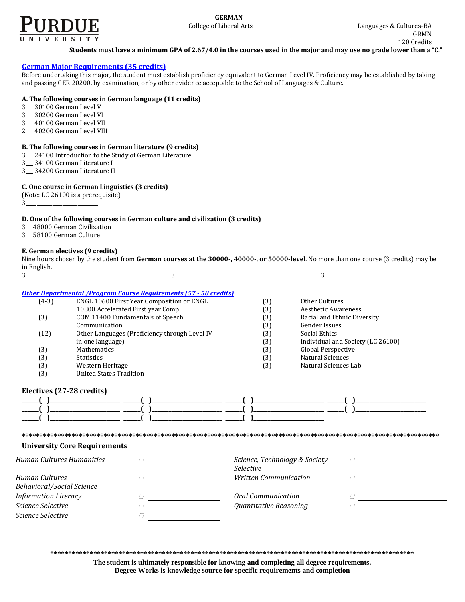

**Students must have a minimum GPA of 2.67/4.0 in the courses used in the major and may use no grade lower than a "C."** 

### **[German Major Requirements](http://www.cla.purdue.edu/academics/programs/pos/GRMN201110.pdf) (35 credits)**

Before undertaking this major, the student must establish proficiency equivalent to German Level IV. Proficiency may be established by taking and passing GER 20200, by examination, or by other evidence acceptable to the School of Languages & Culture.

# **A. The following courses in German language (11 credits)**

- 3\_\_\_ 30100 German Level V
- 3\_\_\_ 30200 German Level VI
- 3\_\_\_ 40100 German Level VII
- 2\_\_\_ 40200 German Level VIII

#### **B. The following courses in German literature (9 credits)**

- 3\_\_\_ 24100 Introduction to the Study of German Literature
- 3\_\_\_ 34100 German Literature I
- 3\_\_\_ 34200 German Literature II

#### **C. One course in German Linguistics (3 credits)**

- (Note: LC 26100 is a prerequisite)
- 3\_\_\_\_ \_\_\_\_\_\_\_\_\_\_\_\_\_\_\_\_\_\_\_\_\_\_\_\_

# **D. One of the following courses in German culture and civilization (3 credits)**

- 3\_\_\_48000 German Civilization
- 3\_\_\_58100 German Culture

## **E. German electives (9 credits)**

Nine hours chosen by the student from **German courses at the 30000-, 40000-, or 50000-level**. No more than one course (3 credits) may be in English.

| 3                           | 3                                                                                                                     |                                                   | 3                                 |
|-----------------------------|-----------------------------------------------------------------------------------------------------------------------|---------------------------------------------------|-----------------------------------|
|                             |                                                                                                                       |                                                   |                                   |
| $(4-3)$                     | <b>Other Departmental /Program Course Requirements (57 - 58 credits)</b><br>ENGL 10600 First Year Composition or ENGL | (3)                                               | Other Cultures                    |
|                             | 10800 Accelerated First year Comp.                                                                                    | (3)                                               | <b>Aesthetic Awareness</b>        |
| (3)                         | COM 11400 Fundamentals of Speech                                                                                      | $-$ (3)                                           | Racial and Ethnic Diversity       |
|                             | Communication                                                                                                         | (3)                                               | <b>Gender Issues</b>              |
| (12)                        | Other Languages (Proficiency through Level IV                                                                         | (3)                                               | Social Ethics                     |
|                             | in one language)                                                                                                      | (3)                                               | Individual and Society (LC 26100) |
| $- (3)$                     | Mathematics                                                                                                           | (3)                                               | <b>Global Perspective</b>         |
| $- (3)$                     | <b>Statistics</b>                                                                                                     | (3)                                               | <b>Natural Sciences</b>           |
| (3)                         | Western Heritage                                                                                                      | (3)                                               | Natural Sciences Lab              |
| (3)                         | <b>United States Tradition</b>                                                                                        |                                                   |                                   |
|                             | <b>University Core Requirements</b>                                                                                   |                                                   |                                   |
|                             |                                                                                                                       |                                                   |                                   |
| Human Cultures Humanities   |                                                                                                                       | Science, Technology & Society<br><b>Selective</b> | $\frac{1}{2}$                     |
| Human Cultures              |                                                                                                                       | <b>Written Communication</b>                      |                                   |
| Behavioral/Social Science   |                                                                                                                       |                                                   |                                   |
| <b>Information Literacy</b> |                                                                                                                       | Oral Communication                                |                                   |
| Science Selective           |                                                                                                                       | Quantitative Reasoning                            |                                   |
| Science Selective           |                                                                                                                       |                                                   |                                   |
|                             |                                                                                                                       |                                                   |                                   |

**\*\*\*\*\*\*\*\*\*\*\*\*\*\*\*\*\*\*\*\*\*\*\*\*\*\*\*\*\*\*\*\*\*\*\*\*\*\*\*\*\*\*\*\*\*\*\*\*\*\*\*\*\*\*\*\*\*\*\*\*\*\*\*\*\*\*\*\*\*\*\*\*\*\*\*\*\*\*\*\*\*\*\*\*\*\*\*\*\*\*\*\*\*\*\*\*\*\*\*\*\***

**The student is ultimately responsible for knowing and completing all degree requirements. Degree Works is knowledge source for specific requirements and completion**